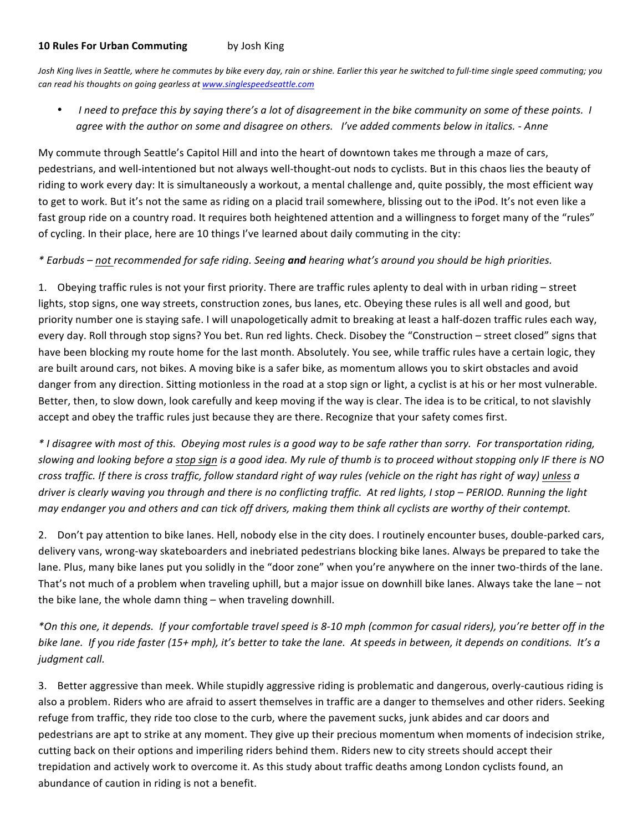## **10 Rules For Urban Commuting** by Josh King

Josh King lives in Seattle, where he commutes by bike every day, rain or shine. Earlier this year he switched to full-time single speed commuting; you *can%read%his%thoughts%on%going%gearless%at%www.singlespeedseattle.com*

*I* need to preface this by saying there's a lot of disagreement in the bike community on some of these points. I *agree%with%the%author%on%some%and%disagree%on%others.%%%I've%added%comments%below%in%italics.%= Anne*

My commute through Seattle's Capitol Hill and into the heart of downtown takes me through a maze of cars, pedestrians, and well-intentioned but not always well-thought-out nods to cyclists. But in this chaos lies the beauty of riding to work every day: It is simultaneously a workout, a mental challenge and, quite possibly, the most efficient way to get to work. But it's not the same as riding on a placid trail somewhere, blissing out to the iPod. It's not even like a fast group ride on a country road. It requires both heightened attention and a willingness to forget many of the "rules" of cycling. In their place, here are 10 things I've learned about daily commuting in the city:

## *\*%Earbuds%– not%recommended%for%safe%riding.%Seeing%and hearing%what's%around%you%should%be%high%priorities.*

1. Obeying traffic rules is not your first priority. There are traffic rules aplenty to deal with in urban riding – street lights, stop signs, one way streets, construction zones, bus lanes, etc. Obeying these rules is all well and good, but priority number one is staying safe. I will unapologetically admit to breaking at least a half-dozen traffic rules each way, every day. Roll through stop signs? You bet. Run red lights. Check. Disobey the "Construction – street closed" signs that have been blocking my route home for the last month. Absolutely. You see, while traffic rules have a certain logic, they are built around cars, not bikes. A moving bike is a safer bike, as momentum allows you to skirt obstacles and avoid danger from any direction. Sitting motionless in the road at a stop sign or light, a cyclist is at his or her most vulnerable. Better, then, to slow down, look carefully and keep moving if the way is clear. The idea is to be critical, to not slavishly accept and obey the traffic rules just because they are there. Recognize that your safety comes first.

*\*%I%disagree%with%most%of%this.%%Obeying%most%rules%is%a%good%way%to%be%safe%rather%than%sorry.%%For%transportation%riding,% slowing%and%looking%before%a%stop%sign is%a%good%idea.%My%rule%of%thumb%is%to%proceed%without%stopping%only%IF%there%is%NO% cross%traffic. If%there%is%cross%traffic,%follow%standard%right%of%way%rules%(vehicle%on%the%right%has%right%of%way)%unless a%* driver is clearly waving you through and there is no conflicting traffic. At red lights, I stop – PERIOD. Running the light *may%endanger%you%and%others%and%can%tick%off%drivers,%making%them%think%all%cyclists%are%worthy%of%their%contempt.*

2. Don't pay attention to bike lanes. Hell, nobody else in the city does. I routinely encounter buses, double-parked cars, delivery vans, wrong-way skateboarders and inebriated pedestrians blocking bike lanes. Always be prepared to take the lane. Plus, many bike lanes put you solidly in the "door zone" when you're anywhere on the inner two-thirds of the lane. That's not much of a problem when traveling uphill, but a major issue on downhill bike lanes. Always take the lane – not the bike lane, the whole damn thing  $-$  when traveling downhill.

*\*On%this%one,%it%depends.%%If%your%comfortable%travel%speed%is%8=10%mph%(common%for%casual%riders),%you're%better%off%in%the%* bike lane. If you ride faster (15+ mph), it's better to take the lane. At speeds in between, it depends on conditions. It's a *judgment call.* 

3. Better aggressive than meek. While stupidly aggressive riding is problematic and dangerous, overly-cautious riding is also a problem. Riders who are afraid to assert themselves in traffic are a danger to themselves and other riders. Seeking refuge from traffic, they ride too close to the curb, where the pavement sucks, junk abides and car doors and pedestrians are apt to strike at any moment. They give up their precious momentum when moments of indecision strike, cutting back on their options and imperiling riders behind them. Riders new to city streets should accept their trepidation and actively work to overcome it. As this study about traffic deaths among London cyclists found, an abundance of caution in riding is not a benefit.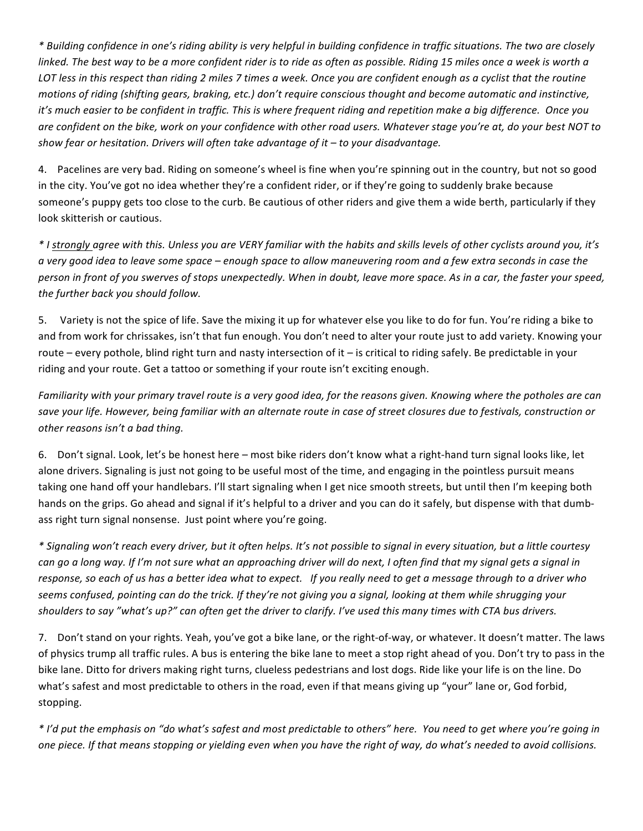*\*%Building%confidence%in%one's%riding%ability%is%very%helpful%in%building%confidence%in%traffic%situations.%The%two%are%closely linked.%The%best%way%to%be%a%more%confident%rider%is%to%ride%as%often%as%possible.%Riding%15 miles%once%a%week%is%worth%a%* LOT less in this respect than riding 2 miles 7 times a week. Once you are confident enough as a cyclist that the routine *motions of riding (shifting gears, braking, etc.) don't require conscious thought and become automatic and instinctive, it's much easier to be confident in traffic. This is where frequent riding and repetition make a big difference. Once you* are confident on the bike, work on your confidence with other road users. Whatever stage you're at, do your best NOT to *show%fear%or%hesitation. Drivers%will%often%take%advantage%of%it%– to%your%disadvantage.*

4. Pacelines are very bad. Riding on someone's wheel is fine when you're spinning out in the country, but not so good in the city. You've got no idea whether they're a confident rider, or if they're going to suddenly brake because someone's puppy gets too close to the curb. Be cautious of other riders and give them a wide berth, particularly if they look skitterish or cautious.

*\*%I%strongly%agree%with%this.%Unless%you%are%VERY%familiar%with%the%habits%and%skills%levels%of%other%cyclists%around%you,%it's% a%very%good%idea%to%leave%some space%– enough%space%to%allow%maneuvering%room%and%a%few%extra%seconds%in%case%the% person%in%front%of%you%swerves%of%stops%unexpectedly. When%in%doubt,%leave%more%space. As%in%a%car,%the%faster%your%speed,* the further back you should follow.

5. Variety is not the spice of life. Save the mixing it up for whatever else you like to do for fun. You're riding a bike to and from work for chrissakes, isn't that fun enough. You don't need to alter your route just to add variety. Knowing your route – every pothole, blind right turn and nasty intersection of it – is critical to riding safely. Be predictable in your riding and your route. Get a tattoo or something if your route isn't exciting enough.

*Familiarity%with%your%primary%travel%route%is%a%very%good%idea,%for%the%reasons%given.%Knowing%where%the%potholes%are%can% save%your%life.%However,%being%familiar%with%an%alternate%route%in%case%of%street%closures%due%to%festivals,%construction or% other reasons isn't a bad thing.* 

6. Don't signal. Look, let's be honest here – most bike riders don't know what a right-hand turn signal looks like, let alone drivers. Signaling is just not going to be useful most of the time, and engaging in the pointless pursuit means taking one hand off your handlebars. I'll start signaling when I get nice smooth streets, but until then I'm keeping both hands on the grips. Go ahead and signal if it's helpful to a driver and you can do it safely, but dispense with that dumbass right turn signal nonsense. Just point where you're going.

*\*%Signaling%won't%reach%every%driver,%but%it often%helps.%It's%not%possible%to%signal%in%every%situation,%but%a%little%courtesy% can%go%a%long%way. If I'm%not%sure%what%an%approaching%driver%will%do%next,%I%often%find%that%my signal%gets%a%signal%in% response,%so%each%of%us%has%a%better%idea%what%to%expect.%%%If%you%really%need%to%get%a%message%through%to%a%driver%who%* seems confused, pointing can do the trick. If they're not giving you a signal, looking at them while shrugging your *shoulders%to%say%"what's%up?"%can%often%get%the%driver%to%clarify. I've%used%this%many%times%with%CTA%bus%drivers.*

7. Don't stand on your rights. Yeah, you've got a bike lane, or the right-of-way, or whatever. It doesn't matter. The laws of physics trump all traffic rules. A bus is entering the bike lane to meet a stop right ahead of you. Don't try to pass in the bike lane. Ditto for drivers making right turns, clueless pedestrians and lost dogs. Ride like your life is on the line. Do what's safest and most predictable to others in the road, even if that means giving up "your" lane or, God forbid, stopping.

*\*%I'd%put%the%emphasis%on%"do%what's%safest%and%most%predictable%to%others"%here.%%You%need%to%get%where%you're%going%in% one%piece.%If%that%means%stopping%or%yielding%even%when%you%have%the%right%of%way,%do%what's%needed%to%avoid%collisions.*